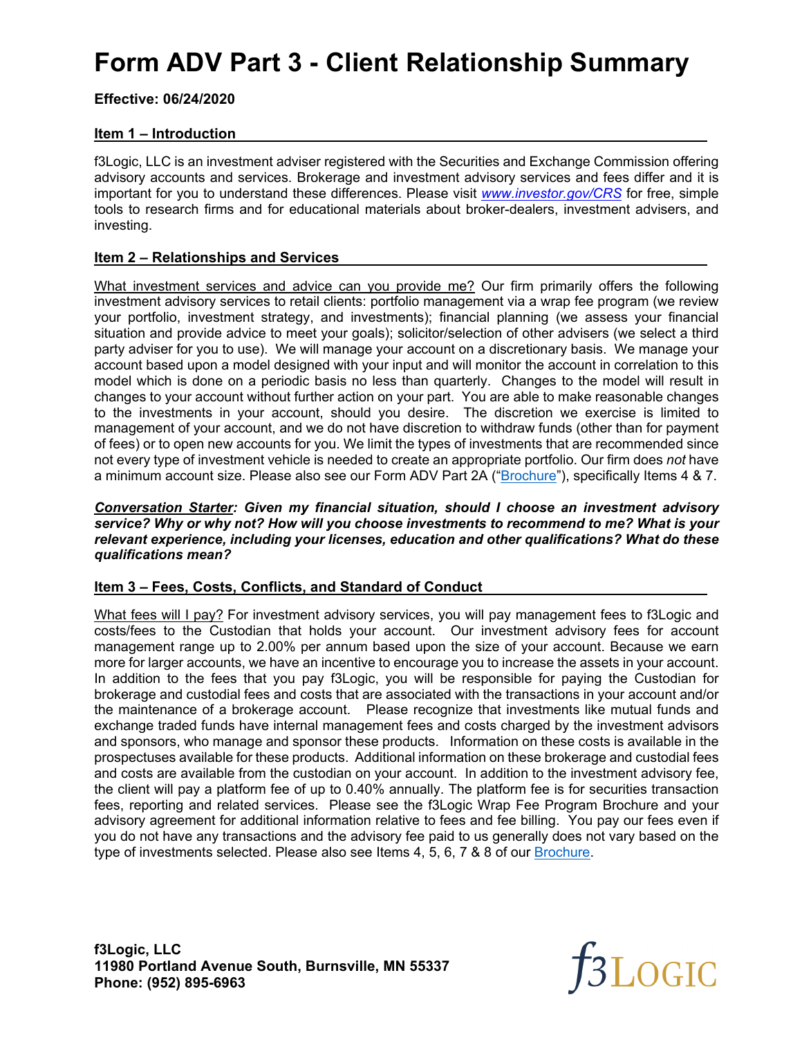# **Form ADV Part 3 - Client Relationship Summary**

**Effective: 06/24/2020** 

## **Item 1 – Introduction**

f3Logic, LLC is an investment adviser registered with the Securities and Exchange Commission offering advisory accounts and services. Brokerage and investment advisory services and fees differ and it is important for you to understand these differences. Please visit *www.investor.gov/CRS* for free, simple tools to research firms and for educational materials about broker-dealers, investment advisers, and investing.

### **Item 2 – Relationships and Services**

What investment services and advice can you provide me? Our firm primarily offers the following investment advisory services to retail clients: portfolio management via a wrap fee program (we review your portfolio, investment strategy, and investments); financial planning (we assess your financial situation and provide advice to meet your goals); solicitor/selection of other advisers (we select a third party adviser for you to use). We will manage your account on a discretionary basis. We manage your account based upon a model designed with your input and will monitor the account in correlation to this model which is done on a periodic basis no less than quarterly. Changes to the model will result in changes to your account without further action on your part. You are able to make reasonable changes to the investments in your account, should you desire. The discretion we exercise is limited to management of your account, and we do not have discretion to withdraw funds (other than for payment of fees) or to open new accounts for you. We limit the types of investments that are recommended since not every type of investment vehicle is needed to create an appropriate portfolio. Our firm does *not* have a minimum account size. Please also see our Form ADV Part 2A ("Brochure"), specifically Items 4 & 7.

*Conversation Starter: Given my financial situation, should I choose an investment advisory service? Why or why not? How will you choose investments to recommend to me? What is your relevant experience, including your licenses, education and other qualifications? What do these qualifications mean?*

## **Item 3 – Fees, Costs, Conflicts, and Standard of Conduct**

What fees will I pay? For investment advisory services, you will pay management fees to f3Logic and costs/fees to the Custodian that holds your account. Our investment advisory fees for account management range up to 2.00% per annum based upon the size of your account. Because we earn more for larger accounts, we have an incentive to encourage you to increase the assets in your account. In addition to the fees that you pay f3Logic, you will be responsible for paying the Custodian for brokerage and custodial fees and costs that are associated with the transactions in your account and/or the maintenance of a brokerage account. Please recognize that investments like mutual funds and exchange traded funds have internal management fees and costs charged by the investment advisors and sponsors, who manage and sponsor these products. Information on these costs is available in the prospectuses available for these products. Additional information on these brokerage and custodial fees and costs are available from the custodian on your account. In addition to the investment advisory fee, the client will pay a platform fee of up to 0.40% annually. The platform fee is for securities transaction fees, reporting and related services. Please see the f3Logic Wrap Fee Program Brochure and your advisory agreement for additional information relative to fees and fee billing. You pay our fees even if you do not have any transactions and the advisory fee paid to us generally does not vary based on the type of investments selected. Please also see Items 4, 5, 6, 7 & 8 of our Brochure.